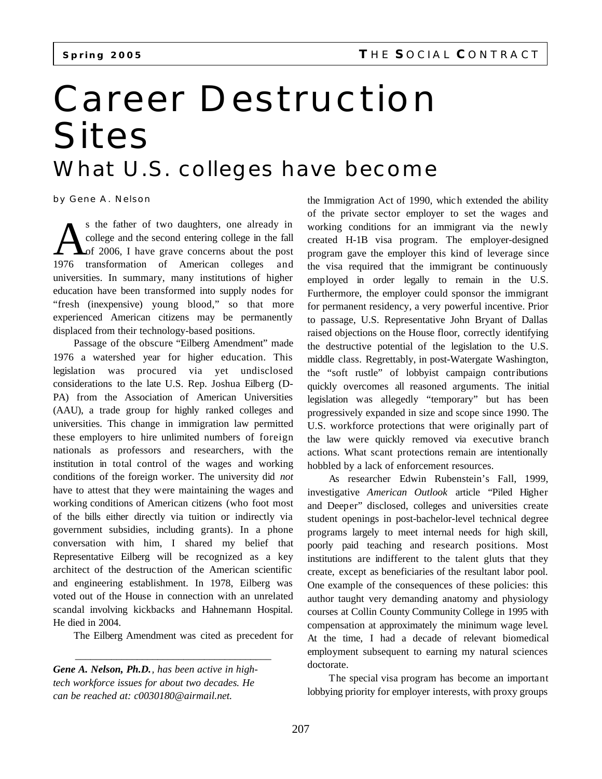## Career Destruction **Sites** *What U.S. colleges have become*

by Gene A. Nelson

S the father of two daughters, one already in college and the second entering college in the fall of 2006, I have grave concerns about the post transformation of American colleges and s the father of two daughters, one already in college and the second entering college in the fall Lof 2006, I have grave concerns about the post universities. In summary, many institutions of higher education have been transformed into supply nodes for "fresh (inexpensive) young blood," so that more experienced American citizens may be permanently displaced from their technology-based positions.

Passage of the obscure "Eilberg Amendment" made 1976 a watershed year for higher education. This legislation was procured via yet undisclosed considerations to the late U.S. Rep. Joshua Eilberg (D-PA) from the Association of American Universities (AAU), a trade group for highly ranked colleges and universities. This change in immigration law permitted these employers to hire unlimited numbers of foreign nationals as professors and researchers, with the institution in total control of the wages and working conditions of the foreign worker. The university did *not* have to attest that they were maintaining the wages and working conditions of American citizens (who foot most of the bills either directly via tuition or indirectly via government subsidies, including grants). In a phone conversation with him, I shared my belief that Representative Eilberg will be recognized as a key architect of the destruction of the American scientific and engineering establishment. In 1978, Eilberg was voted out of the House in connection with an unrelated scandal involving kickbacks and Hahnemann Hospital. He died in 2004.

The Eilberg Amendment was cited as precedent for

\_\_\_\_\_\_\_\_\_\_\_\_\_\_\_\_\_\_\_\_\_\_\_\_\_\_\_\_\_\_\_\_\_\_\_\_\_\_

*Gene A. Nelson, Ph.D., has been active in hightech workforce issues for about two decades. He can be reached at: c0030180@airmail.net.*

the Immigration Act of 1990, which extended the ability of the private sector employer to set the wages and working conditions for an immigrant via the newly created H-1B visa program. The employer-designed program gave the employer this kind of leverage since the visa required that the immigrant be continuously employed in order legally to remain in the U.S. Furthermore, the employer could sponsor the immigrant for permanent residency, a very powerful incentive. Prior to passage, U.S. Representative John Bryant of Dallas raised objections on the House floor, correctly identifying the destructive potential of the legislation to the U.S. middle class. Regrettably, in post-Watergate Washington, the "soft rustle" of lobbyist campaign contributions quickly overcomes all reasoned arguments. The initial legislation was allegedly "temporary" but has been progressively expanded in size and scope since 1990. The U.S. workforce protections that were originally part of the law were quickly removed via executive branch actions. What scant protections remain are intentionally hobbled by a lack of enforcement resources.

As researcher Edwin Rubenstein's Fall, 1999, investigative *American Outlook* article "Piled Higher and Deeper" disclosed, colleges and universities create student openings in post-bachelor-level technical degree programs largely to meet internal needs for high skill, poorly paid teaching and research positions. Most institutions are indifferent to the talent gluts that they create, except as beneficiaries of the resultant labor pool. One example of the consequences of these policies: this author taught very demanding anatomy and physiology courses at Collin County Community College in 1995 with compensation at approximately the minimum wage level. At the time, I had a decade of relevant biomedical employment subsequent to earning my natural sciences doctorate.

The special visa program has become an important lobbying priority for employer interests, with proxy groups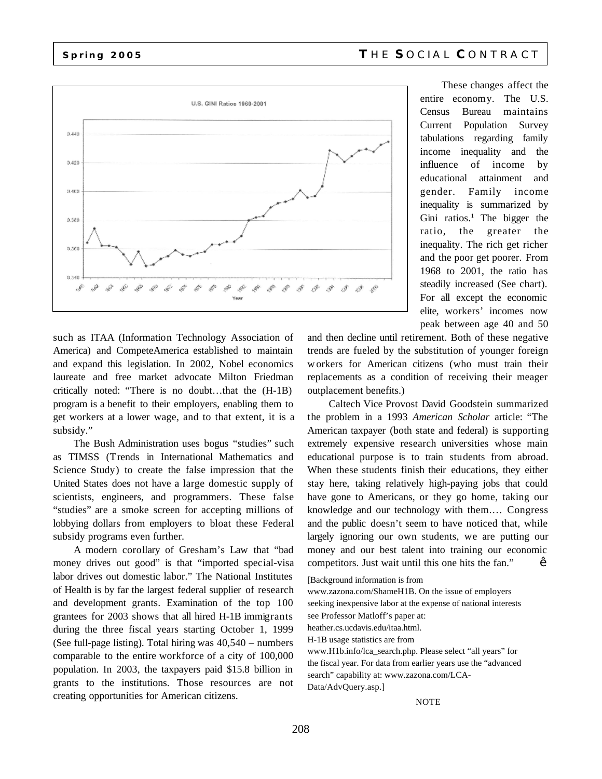

These changes affect the entire economy. The U.S. Census Bureau maintains Current Population Survey tabulations regarding family income inequality and the influence of income by educational attainment and gender. Family income inequality is summarized by Gini ratios.<sup>1</sup> The bigger the ratio, the greater the inequality. The rich get richer and the poor get poorer. From 1968 to 2001, the ratio has steadily increased (See chart). For all except the economic elite, workers' incomes now peak between age 40 and 50

such as ITAA (Information Technology Association of America) and CompeteAmerica established to maintain and expand this legislation. In 2002, Nobel economics laureate and free market advocate Milton Friedman critically noted: "There is no doubt…that the (H-1B) program is a benefit to their employers, enabling them to get workers at a lower wage, and to that extent, it is a subsidy."

The Bush Administration uses bogus "studies" such as TIMSS (Trends in International Mathematics and Science Study) to create the false impression that the United States does not have a large domestic supply of scientists, engineers, and programmers. These false "studies" are a smoke screen for accepting millions of lobbying dollars from employers to bloat these Federal subsidy programs even further.

A modern corollary of Gresham's Law that "bad money drives out good" is that "imported special-visa labor drives out domestic labor." The National Institutes of Health is by far the largest federal supplier of research and development grants. Examination of the top 100 grantees for 2003 shows that all hired H-1B immigrants during the three fiscal years starting October 1, 1999 (See full-page listing). Total hiring was 40,540 – numbers comparable to the entire workforce of a city of 100,000 population. In 2003, the taxpayers paid \$15.8 billion in grants to the institutions. Those resources are not creating opportunities for American citizens.

and then decline until retirement. Both of these negative trends are fueled by the substitution of younger foreign workers for American citizens (who must train their replacements as a condition of receiving their meager outplacement benefits.)

Caltech Vice Provost David Goodstein summarized the problem in a 1993 *American Scholar* article: "The American taxpayer (both state and federal) is supporting extremely expensive research universities whose main educational purpose is to train students from abroad. When these students finish their educations, they either stay here, taking relatively high-paying jobs that could have gone to Americans, or they go home, taking our knowledge and our technology with them.… Congress and the public doesn't seem to have noticed that, while largely ignoring our own students, we are putting our money and our best talent into training our economic competitors. Just wait until this one hits the fan." •

[Background information is from

www.zazona.com/ShameH1B. On the issue of employers seeking inexpensive labor at the expense of national interests see Professor Matloff's paper at:

heather.cs.ucdavis.edu/itaa.html.

H-1B usage statistics are from

www.H1b.info/lca\_search.php. Please select "all years" for the fiscal year. For data from earlier years use the "advanced search" capability at: www.zazona.com/LCA-Data/AdvQuery.asp.]

## **NOTE**